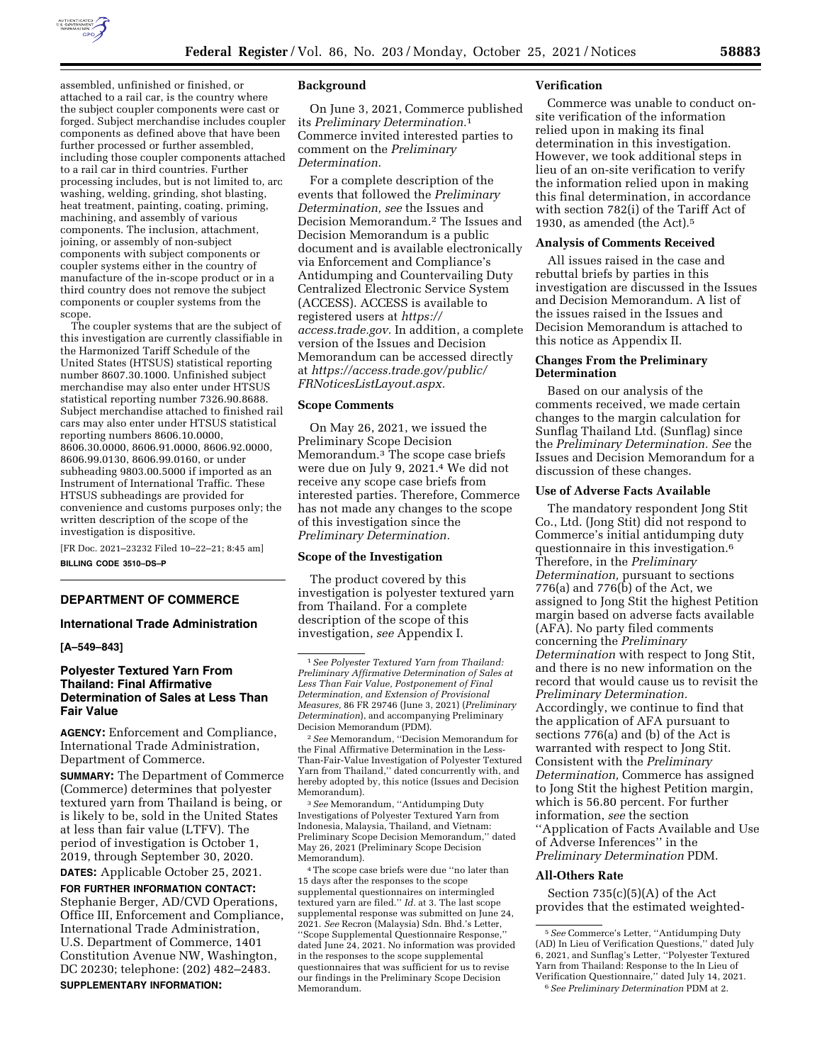

assembled, unfinished or finished, or attached to a rail car, is the country where the subject coupler components were cast or forged. Subject merchandise includes coupler components as defined above that have been further processed or further assembled, including those coupler components attached to a rail car in third countries. Further processing includes, but is not limited to, arc washing, welding, grinding, shot blasting, heat treatment, painting, coating, priming, machining, and assembly of various components. The inclusion, attachment, joining, or assembly of non-subject components with subject components or coupler systems either in the country of manufacture of the in-scope product or in a third country does not remove the subject components or coupler systems from the scope.

The coupler systems that are the subject of this investigation are currently classifiable in the Harmonized Tariff Schedule of the United States (HTSUS) statistical reporting number 8607.30.1000. Unfinished subject merchandise may also enter under HTSUS statistical reporting number 7326.90.8688. Subject merchandise attached to finished rail cars may also enter under HTSUS statistical reporting numbers 8606.10.0000, 8606.30.0000, 8606.91.0000, 8606.92.0000, 8606.99.0130, 8606.99.0160, or under subheading 9803.00.5000 if imported as an Instrument of International Traffic. These HTSUS subheadings are provided for convenience and customs purposes only; the written description of the scope of the investigation is dispositive.

[FR Doc. 2021–23232 Filed 10–22–21; 8:45 am] **BILLING CODE 3510–DS–P** 

# **DEPARTMENT OF COMMERCE**

#### **International Trade Administration**

### **[A–549–843]**

# **Polyester Textured Yarn From Thailand: Final Affirmative Determination of Sales at Less Than Fair Value**

**AGENCY:** Enforcement and Compliance, International Trade Administration, Department of Commerce.

**SUMMARY:** The Department of Commerce (Commerce) determines that polyester textured yarn from Thailand is being, or is likely to be, sold in the United States at less than fair value (LTFV). The period of investigation is October 1, 2019, through September 30, 2020.

**DATES:** Applicable October 25, 2021.

**FOR FURTHER INFORMATION CONTACT:**  Stephanie Berger, AD/CVD Operations, Office III, Enforcement and Compliance, International Trade Administration, U.S. Department of Commerce, 1401 Constitution Avenue NW, Washington, DC 20230; telephone: (202) 482–2483. **SUPPLEMENTARY INFORMATION:** 

#### **Background**

On June 3, 2021, Commerce published its *Preliminary Determination.*1 Commerce invited interested parties to comment on the *Preliminary Determination.* 

For a complete description of the events that followed the *Preliminary Determination, see* the Issues and Decision Memorandum.2 The Issues and Decision Memorandum is a public document and is available electronically via Enforcement and Compliance's Antidumping and Countervailing Duty Centralized Electronic Service System (ACCESS). ACCESS is available to registered users at *[https://](https://access.trade.gov) [access.trade.gov.](https://access.trade.gov)* In addition, a complete version of the Issues and Decision Memorandum can be accessed directly at *[https://access.trade.gov/public/](https://access.trade.gov/public/FRNoticesListLayout.aspx)  [FRNoticesListLayout.aspx.](https://access.trade.gov/public/FRNoticesListLayout.aspx)* 

### **Scope Comments**

On May 26, 2021, we issued the Preliminary Scope Decision Memorandum.3 The scope case briefs were due on July 9, 2021.4 We did not receive any scope case briefs from interested parties. Therefore, Commerce has not made any changes to the scope of this investigation since the *Preliminary Determination.* 

### **Scope of the Investigation**

The product covered by this investigation is polyester textured yarn from Thailand. For a complete description of the scope of this investigation, *see* Appendix I.

2*See* Memorandum, ''Decision Memorandum for the Final Affirmative Determination in the Less-Than-Fair-Value Investigation of Polyester Textured Yarn from Thailand,'' dated concurrently with, and hereby adopted by, this notice (Issues and Decision Memorandum).

3*See* Memorandum, ''Antidumping Duty Investigations of Polyester Textured Yarn from Indonesia, Malaysia, Thailand, and Vietnam: Preliminary Scope Decision Memorandum,'' dated May 26, 2021 (Preliminary Scope Decision Memorandum).

4The scope case briefs were due ''no later than 15 days after the responses to the scope supplemental questionnaires on intermingled textured yarn are filed.'' *Id.* at 3. The last scope supplemental response was submitted on June 24, 2021. *See* Recron (Malaysia) Sdn. Bhd.'s Letter, ''Scope Supplemental Questionnaire Response,'' dated June 24, 2021. No information was provided in the responses to the scope supplemental questionnaires that was sufficient for us to revise our findings in the Preliminary Scope Decision Memorandum.

#### **Verification**

Commerce was unable to conduct onsite verification of the information relied upon in making its final determination in this investigation. However, we took additional steps in lieu of an on-site verification to verify the information relied upon in making this final determination, in accordance with section 782(i) of the Tariff Act of 1930, as amended (the Act).5

### **Analysis of Comments Received**

All issues raised in the case and rebuttal briefs by parties in this investigation are discussed in the Issues and Decision Memorandum. A list of the issues raised in the Issues and Decision Memorandum is attached to this notice as Appendix II.

### **Changes From the Preliminary Determination**

Based on our analysis of the comments received, we made certain changes to the margin calculation for Sunflag Thailand Ltd. (Sunflag) since the *Preliminary Determination. See* the Issues and Decision Memorandum for a discussion of these changes.

#### **Use of Adverse Facts Available**

The mandatory respondent Jong Stit Co., Ltd. (Jong Stit) did not respond to Commerce's initial antidumping duty questionnaire in this investigation.6 Therefore, in the *Preliminary Determination,* pursuant to sections  $776(a)$  and  $776(b)$  of the Act, we assigned to Jong Stit the highest Petition margin based on adverse facts available (AFA). No party filed comments concerning the *Preliminary Determination* with respect to Jong Stit, and there is no new information on the record that would cause us to revisit the *Preliminary Determination.*  Accordingly, we continue to find that the application of AFA pursuant to sections 776(a) and (b) of the Act is warranted with respect to Jong Stit. Consistent with the *Preliminary Determination,* Commerce has assigned to Jong Stit the highest Petition margin, which is 56.80 percent. For further information, *see* the section ''Application of Facts Available and Use of Adverse Inferences'' in the *Preliminary Determination* PDM.

#### **All-Others Rate**

Section  $735(c)(5)(A)$  of the Act provides that the estimated weighted-

<sup>1</sup>*See Polyester Textured Yarn from Thailand: Preliminary Affirmative Determination of Sales at Less Than Fair Value, Postponement of Final Determination, and Extension of Provisional Measures,* 86 FR 29746 (June 3, 2021) (*Preliminary Determination*), and accompanying Preliminary Decision Memorandum (PDM).

<sup>5</sup>*See* Commerce's Letter, ''Antidumping Duty (AD) In Lieu of Verification Questions,'' dated July 6, 2021, and Sunflag's Letter, ''Polyester Textured Yarn from Thailand: Response to the In Lieu of Verification Questionnaire,'' dated July 14, 2021. 6*See Preliminary Determination* PDM at 2.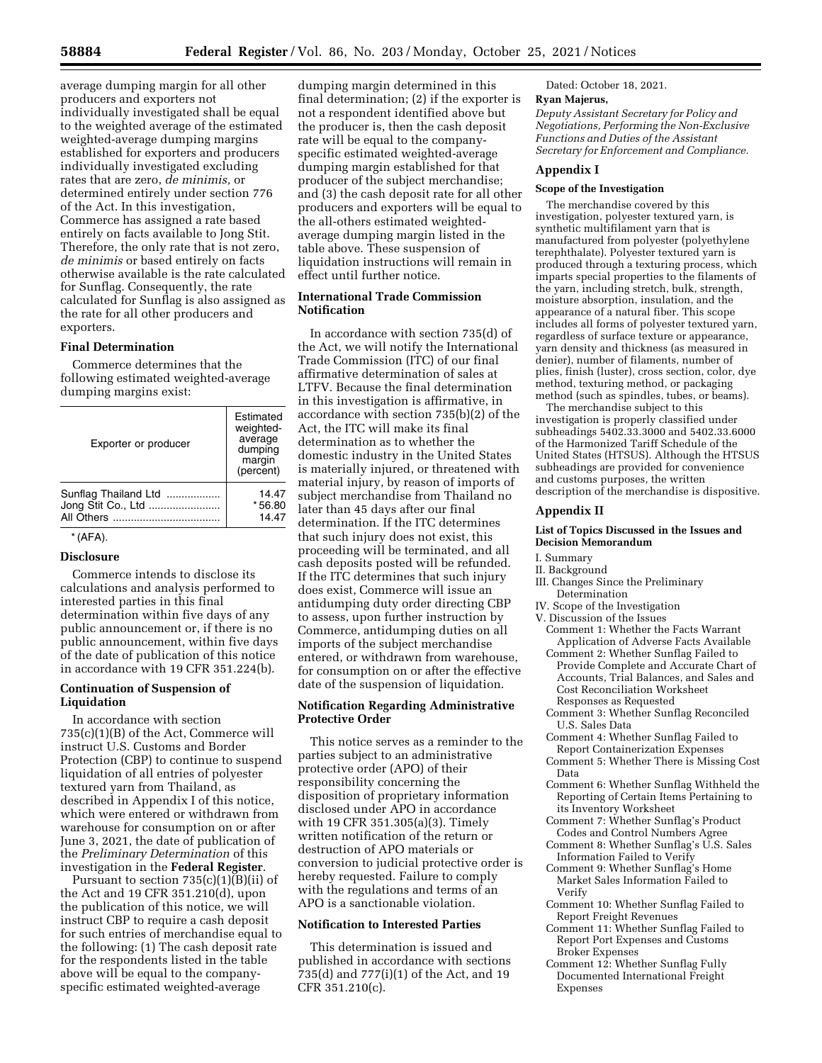average dumping margin for all other producers and exporters not individually investigated shall be equal to the weighted average of the estimated weighted-average dumping margins established for exporters and producers individually investigated excluding rates that are zero, *de minimis,* or determined entirely under section 776 of the Act. In this investigation, Commerce has assigned a rate based entirely on facts available to Jong Stit. Therefore, the only rate that is not zero, *de minimis* or based entirely on facts otherwise available is the rate calculated for Sunflag. Consequently, the rate calculated for Sunflag is also assigned as the rate for all other producers and exporters.

### **Final Determination**

Commerce determines that the following estimated weighted-average dumping margins exist:

| Exporter or producer | Estimated<br>weighted-<br>average<br>dumping<br>margin<br>(percent) |
|----------------------|---------------------------------------------------------------------|
| Sunflag Thailand Ltd | 14.47                                                               |
| Jong Stit Co., Ltd   | $*56.80$                                                            |
|                      | 14.47                                                               |

# $*(AFA).$

#### **Disclosure**

Commerce intends to disclose its calculations and analysis performed to interested parties in this final determination within five days of any public announcement or, if there is no public announcement, within five days of the date of publication of this notice in accordance with 19 CFR 351.224(b).

# **Continuation of Suspension of Liquidation**

In accordance with section 735(c)(1)(B) of the Act, Commerce will instruct U.S. Customs and Border Protection (CBP) to continue to suspend liquidation of all entries of polyester textured yarn from Thailand, as described in Appendix I of this notice, which were entered or withdrawn from warehouse for consumption on or after June 3, 2021, the date of publication of the *Preliminary Determination* of this investigation in the **Federal Register**.

Pursuant to section  $735(c)(1)(B)(ii)$  of the Act and 19 CFR 351.210(d), upon the publication of this notice, we will instruct CBP to require a cash deposit for such entries of merchandise equal to the following: (1) The cash deposit rate for the respondents listed in the table above will be equal to the companyspecific estimated weighted-average

dumping margin determined in this final determination; (2) if the exporter is not a respondent identified above but the producer is, then the cash deposit rate will be equal to the companyspecific estimated weighted-average dumping margin established for that producer of the subject merchandise; and (3) the cash deposit rate for all other producers and exporters will be equal to the all-others estimated weightedaverage dumping margin listed in the table above. These suspension of liquidation instructions will remain in effect until further notice.

# **International Trade Commission Notification**

In accordance with section 735(d) of the Act, we will notify the International Trade Commission (ITC) of our final affirmative determination of sales at LTFV. Because the final determination in this investigation is affirmative, in accordance with section 735(b)(2) of the Act, the ITC will make its final determination as to whether the domestic industry in the United States is materially injured, or threatened with material injury, by reason of imports of subject merchandise from Thailand no later than 45 days after our final determination. If the ITC determines that such injury does not exist, this proceeding will be terminated, and all cash deposits posted will be refunded. If the ITC determines that such injury does exist, Commerce will issue an antidumping duty order directing CBP to assess, upon further instruction by Commerce, antidumping duties on all imports of the subject merchandise entered, or withdrawn from warehouse, for consumption on or after the effective date of the suspension of liquidation.

# **Notification Regarding Administrative Protective Order**

This notice serves as a reminder to the parties subject to an administrative protective order (APO) of their responsibility concerning the disposition of proprietary information disclosed under APO in accordance with 19 CFR 351.305(a)(3). Timely written notification of the return or destruction of APO materials or conversion to judicial protective order is hereby requested. Failure to comply with the regulations and terms of an APO is a sanctionable violation.

# **Notification to Interested Parties**

This determination is issued and published in accordance with sections 735(d) and 777(i)(1) of the Act, and 19 CFR 351.210(c).

Dated: October 18, 2021.

# **Ryan Majerus,**

*Deputy Assistant Secretary for Policy and Negotiations, Performing the Non-Exclusive Functions and Duties of the Assistant Secretary for Enforcement and Compliance.* 

# **Appendix I**

#### **Scope of the Investigation**

The merchandise covered by this investigation, polyester textured yarn, is synthetic multifilament yarn that is manufactured from polyester (polyethylene terephthalate). Polyester textured yarn is produced through a texturing process, which imparts special properties to the filaments of the yarn, including stretch, bulk, strength, moisture absorption, insulation, and the appearance of a natural fiber. This scope includes all forms of polyester textured yarn, regardless of surface texture or appearance, yarn density and thickness (as measured in denier), number of filaments, number of plies, finish (luster), cross section, color, dye method, texturing method, or packaging method (such as spindles, tubes, or beams).

The merchandise subject to this investigation is properly classified under subheadings 5402.33.3000 and 5402.33.6000 of the Harmonized Tariff Schedule of the United States (HTSUS). Although the HTSUS subheadings are provided for convenience and customs purposes, the written description of the merchandise is dispositive.

### **Appendix II**

# **List of Topics Discussed in the Issues and Decision Memorandum**

- I. Summary
- II. Background
- III. Changes Since the Preliminary Determination
- IV. Scope of the Investigation
- V. Discussion of the Issues
	- Comment 1: Whether the Facts Warrant Application of Adverse Facts Available
	- Comment 2: Whether Sunflag Failed to Provide Complete and Accurate Chart of Accounts, Trial Balances, and Sales and Cost Reconciliation Worksheet Responses as Requested
	- Comment 3: Whether Sunflag Reconciled U.S. Sales Data
	- Comment 4: Whether Sunflag Failed to Report Containerization Expenses
	- Comment 5: Whether There is Missing Cost Data
	- Comment 6: Whether Sunflag Withheld the Reporting of Certain Items Pertaining to its Inventory Worksheet
	- Comment 7: Whether Sunflag's Product Codes and Control Numbers Agree
	- Comment 8: Whether Sunflag's U.S. Sales Information Failed to Verify
	- Comment 9: Whether Sunflag's Home Market Sales Information Failed to Verify
	- Comment 10: Whether Sunflag Failed to Report Freight Revenues
	- Comment 11: Whether Sunflag Failed to Report Port Expenses and Customs Broker Expenses
	- Comment 12: Whether Sunflag Fully Documented International Freight Expenses